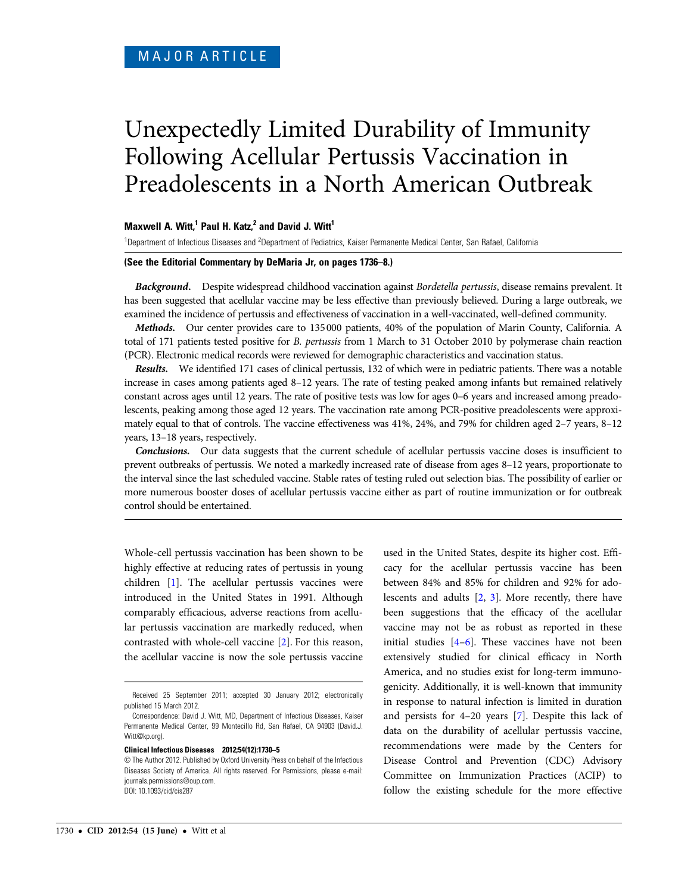# Unexpectedly Limited Durability of Immunity Following Acellular Pertussis Vaccination in Preadolescents in a North American Outbreak

## Maxwell A. Witt, $1$  Paul H. Katz, $2$  and David J. Witt $1$

<sup>1</sup>Department of Infectious Diseases and <sup>2</sup>Department of Pediatrics, Kaiser Permanente Medical Center, San Rafael, California

## (See the Editorial Commentary by DeMaria Jr, on pages 1736–8.)

Background. Despite widespread childhood vaccination against Bordetella pertussis, disease remains prevalent. It has been suggested that acellular vaccine may be less effective than previously believed. During a large outbreak, we examined the incidence of pertussis and effectiveness of vaccination in a well-vaccinated, well-defined community.

Methods. Our center provides care to 135000 patients, 40% of the population of Marin County, California. A total of 171 patients tested positive for B. pertussis from 1 March to 31 October 2010 by polymerase chain reaction (PCR). Electronic medical records were reviewed for demographic characteristics and vaccination status.

Results. We identified 171 cases of clinical pertussis, 132 of which were in pediatric patients. There was a notable increase in cases among patients aged 8–12 years. The rate of testing peaked among infants but remained relatively constant across ages until 12 years. The rate of positive tests was low for ages 0–6 years and increased among preadolescents, peaking among those aged 12 years. The vaccination rate among PCR-positive preadolescents were approximately equal to that of controls. The vaccine effectiveness was 41%, 24%, and 79% for children aged 2–7 years, 8–12 years, 13–18 years, respectively.

Conclusions. Our data suggests that the current schedule of acellular pertussis vaccine doses is insufficient to prevent outbreaks of pertussis. We noted a markedly increased rate of disease from ages 8–12 years, proportionate to the interval since the last scheduled vaccine. Stable rates of testing ruled out selection bias. The possibility of earlier or more numerous booster doses of acellular pertussis vaccine either as part of routine immunization or for outbreak control should be entertained.

Whole-cell pertussis vaccination has been shown to be highly effective at reducing rates of pertussis in young children [[1](#page-4-0)]. The acellular pertussis vaccines were introduced in the United States in 1991. Although comparably efficacious, adverse reactions from acellular pertussis vaccination are markedly reduced, when contrasted with whole-cell vaccine [\[2\]](#page-5-0). For this reason, the acellular vaccine is now the sole pertussis vaccine

Clinical Infectious Diseases 2012;54(12):1730–5

used in the United States, despite its higher cost. Efficacy for the acellular pertussis vaccine has been between 84% and 85% for children and 92% for adolescents and adults [[2](#page-5-0), [3\]](#page-5-0). More recently, there have been suggestions that the efficacy of the acellular vaccine may not be as robust as reported in these initial studies [[4](#page-5-0)–[6\]](#page-5-0). These vaccines have not been extensively studied for clinical efficacy in North America, and no studies exist for long-term immunogenicity. Additionally, it is well-known that immunity in response to natural infection is limited in duration and persists for 4–20 years [[7](#page-5-0)]. Despite this lack of data on the durability of acellular pertussis vaccine, recommendations were made by the Centers for Disease Control and Prevention (CDC) Advisory Committee on Immunization Practices (ACIP) to follow the existing schedule for the more effective

Received 25 September 2011; accepted 30 January 2012; electronically published 15 March 2012.

Correspondence: David J. Witt, MD, Department of Infectious Diseases, Kaiser Permanente Medical Center, 99 Montecillo Rd, San Rafael, CA 94903 (David.J. Witt@kn.org)

<sup>©</sup> The Author 2012. Published by Oxford University Press on behalf of the Infectious Diseases Society of America. All rights reserved. For Permissions, please e-mail: journals.permissions@oup.com. DOI: 10.1093/cid/cis287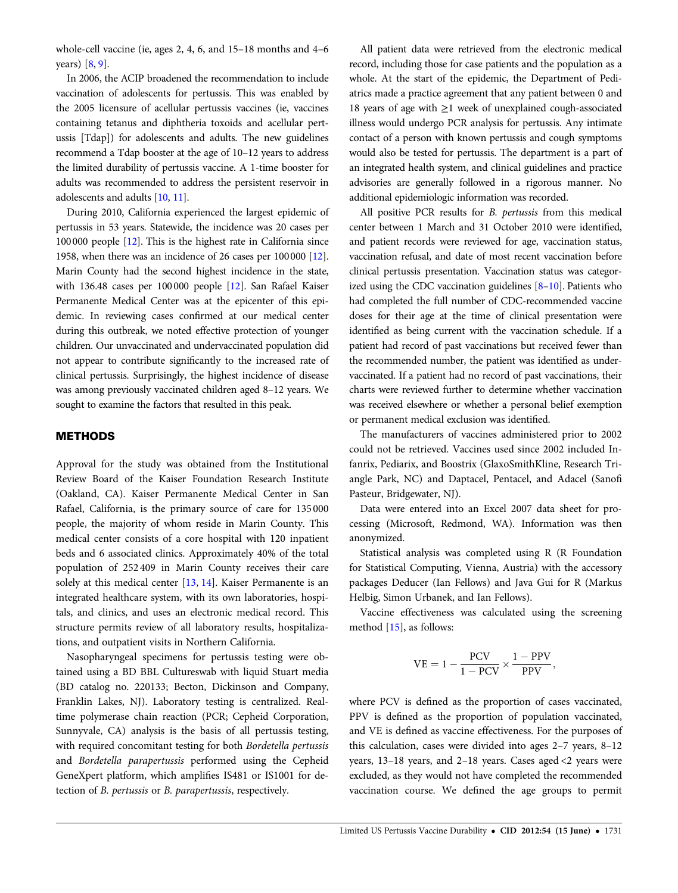whole-cell vaccine (ie, ages 2, 4, 6, and 15–18 months and 4–6 years) [\[8,](#page-5-0) [9\]](#page-5-0).

In 2006, the ACIP broadened the recommendation to include vaccination of adolescents for pertussis. This was enabled by the 2005 licensure of acellular pertussis vaccines (ie, vaccines containing tetanus and diphtheria toxoids and acellular pertussis [Tdap]) for adolescents and adults. The new guidelines recommend a Tdap booster at the age of 10–12 years to address the limited durability of pertussis vaccine. A 1-time booster for adults was recommended to address the persistent reservoir in adolescents and adults [\[10](#page-5-0), [11](#page-5-0)].

During 2010, California experienced the largest epidemic of pertussis in 53 years. Statewide, the incidence was 20 cases per 100000 people [\[12](#page-5-0)]. This is the highest rate in California since 1958, when there was an incidence of 26 cases per 100000 [[12\]](#page-5-0). Marin County had the second highest incidence in the state, with 136.48 cases per 100000 people [[12\]](#page-5-0). San Rafael Kaiser Permanente Medical Center was at the epicenter of this epidemic. In reviewing cases confirmed at our medical center during this outbreak, we noted effective protection of younger children. Our unvaccinated and undervaccinated population did not appear to contribute significantly to the increased rate of clinical pertussis. Surprisingly, the highest incidence of disease was among previously vaccinated children aged 8–12 years. We sought to examine the factors that resulted in this peak.

## METHODS

Approval for the study was obtained from the Institutional Review Board of the Kaiser Foundation Research Institute (Oakland, CA). Kaiser Permanente Medical Center in San Rafael, California, is the primary source of care for 135 000 people, the majority of whom reside in Marin County. This medical center consists of a core hospital with 120 inpatient beds and 6 associated clinics. Approximately 40% of the total population of 252 409 in Marin County receives their care solely at this medical center  $[13, 14]$  $[13, 14]$  $[13, 14]$  $[13, 14]$  $[13, 14]$ . Kaiser Permanente is an integrated healthcare system, with its own laboratories, hospitals, and clinics, and uses an electronic medical record. This structure permits review of all laboratory results, hospitalizations, and outpatient visits in Northern California.

Nasopharyngeal specimens for pertussis testing were obtained using a BD BBL Cultureswab with liquid Stuart media (BD catalog no. 220133; Becton, Dickinson and Company, Franklin Lakes, NJ). Laboratory testing is centralized. Realtime polymerase chain reaction (PCR; Cepheid Corporation, Sunnyvale, CA) analysis is the basis of all pertussis testing, with required concomitant testing for both Bordetella pertussis and Bordetella parapertussis performed using the Cepheid GeneXpert platform, which amplifies IS481 or IS1001 for detection of B. pertussis or B. parapertussis, respectively.

All patient data were retrieved from the electronic medical record, including those for case patients and the population as a whole. At the start of the epidemic, the Department of Pediatrics made a practice agreement that any patient between 0 and 18 years of age with ≥1 week of unexplained cough-associated illness would undergo PCR analysis for pertussis. Any intimate contact of a person with known pertussis and cough symptoms would also be tested for pertussis. The department is a part of an integrated health system, and clinical guidelines and practice advisories are generally followed in a rigorous manner. No additional epidemiologic information was recorded.

All positive PCR results for B. pertussis from this medical center between 1 March and 31 October 2010 were identified, and patient records were reviewed for age, vaccination status, vaccination refusal, and date of most recent vaccination before clinical pertussis presentation. Vaccination status was categorized using the CDC vaccination guidelines [\[8](#page-5-0)–[10](#page-5-0)]. Patients who had completed the full number of CDC-recommended vaccine doses for their age at the time of clinical presentation were identified as being current with the vaccination schedule. If a patient had record of past vaccinations but received fewer than the recommended number, the patient was identified as undervaccinated. If a patient had no record of past vaccinations, their charts were reviewed further to determine whether vaccination was received elsewhere or whether a personal belief exemption or permanent medical exclusion was identified.

The manufacturers of vaccines administered prior to 2002 could not be retrieved. Vaccines used since 2002 included Infanrix, Pediarix, and Boostrix (GlaxoSmithKline, Research Triangle Park, NC) and Daptacel, Pentacel, and Adacel (Sanofi Pasteur, Bridgewater, NJ).

Data were entered into an Excel 2007 data sheet for processing (Microsoft, Redmond, WA). Information was then anonymized.

Statistical analysis was completed using R (R Foundation for Statistical Computing, Vienna, Austria) with the accessory packages Deducer (Ian Fellows) and Java Gui for R (Markus Helbig, Simon Urbanek, and Ian Fellows).

Vaccine effectiveness was calculated using the screening method [\[15](#page-5-0)], as follows:

$$
VE = 1 - \frac{PCV}{1 - PCV} \times \frac{1 - PPV}{PPV},
$$

where PCV is defined as the proportion of cases vaccinated, PPV is defined as the proportion of population vaccinated, and VE is defined as vaccine effectiveness. For the purposes of this calculation, cases were divided into ages 2–7 years, 8–12 years, 13–18 years, and 2–18 years. Cases aged <2 years were excluded, as they would not have completed the recommended vaccination course. We defined the age groups to permit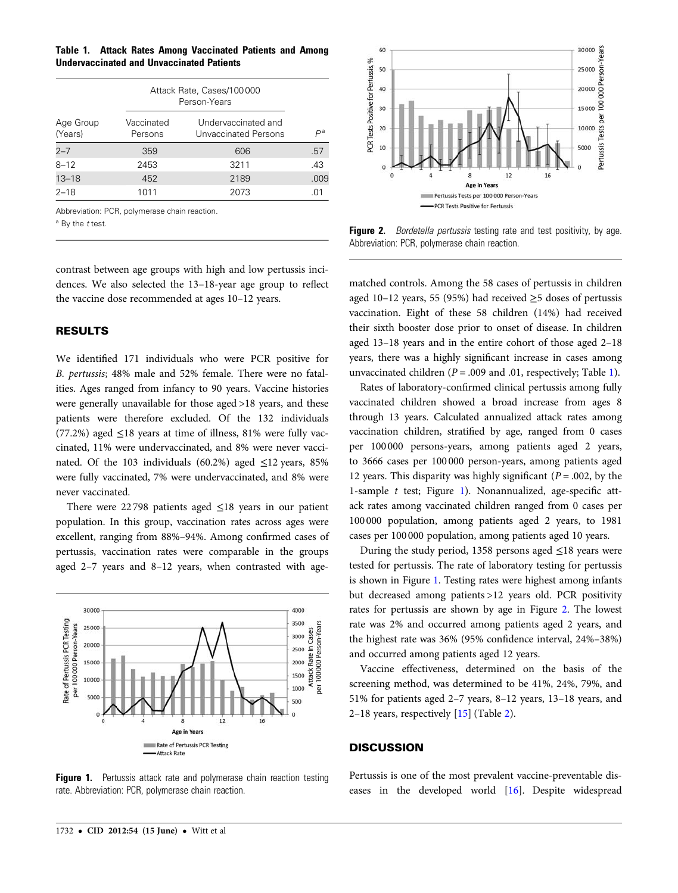Table 1. Attack Rates Among Vaccinated Patients and Among Undervaccinated and Unvaccinated Patients

|                      | Attack Rate, Cases/100000<br>Person-Years |                                             |      |
|----------------------|-------------------------------------------|---------------------------------------------|------|
|                      |                                           |                                             |      |
| Age Group<br>(Years) | Vaccinated<br>Persons                     | Undervaccinated and<br>Unvaccinated Persons | рa   |
| $2 - 7$              | 359                                       | 606                                         | .57  |
| $8 - 12$             | 2453                                      | 3211                                        | .43  |
| $13 - 18$            | 452                                       | 2189                                        | .009 |
| $2 - 18$             | 1011                                      | 2073                                        | 01   |

Abbreviation: PCR, polymerase chain reaction.

contrast between age groups with high and low pertussis incidences. We also selected the 13–18-year age group to reflect the vaccine dose recommended at ages 10–12 years.

## RESULTS

We identified 171 individuals who were PCR positive for B. pertussis; 48% male and 52% female. There were no fatalities. Ages ranged from infancy to 90 years. Vaccine histories were generally unavailable for those aged >18 years, and these patients were therefore excluded. Of the 132 individuals (77.2%) aged ≤18 years at time of illness, 81% were fully vaccinated, 11% were undervaccinated, and 8% were never vaccinated. Of the 103 individuals (60.2%) aged  $\leq$ 12 years, 85% were fully vaccinated, 7% were undervaccinated, and 8% were never vaccinated.

There were 22798 patients aged  $\leq$ 18 years in our patient population. In this group, vaccination rates across ages were excellent, ranging from 88%–94%. Among confirmed cases of pertussis, vaccination rates were comparable in the groups aged 2–7 years and 8–12 years, when contrasted with age-



<span id="page-2-0"></span>**Figure 1.** Pertussis attack rate and polymerase chain reaction testing rate. Abbreviation: PCR, polymerase chain reaction.



<sup>a</sup> By the t test. **Figure 2.** Bordetella pertussis testing rate and test positivity, by age. Abbreviation: PCR, polymerase chain reaction.

matched controls. Among the 58 cases of pertussis in children aged 10–12 years, 55 (95%) had received ≥5 doses of pertussis vaccination. Eight of these 58 children (14%) had received their sixth booster dose prior to onset of disease. In children aged 13–18 years and in the entire cohort of those aged 2–18 years, there was a highly significant increase in cases among unvaccinated children ( $P = .009$  and .01, respectively; Table [1\)](#page-2-0).

Rates of laboratory-confirmed clinical pertussis among fully vaccinated children showed a broad increase from ages 8 through 13 years. Calculated annualized attack rates among vaccination children, stratified by age, ranged from 0 cases per 100 000 persons-years, among patients aged 2 years, to 3666 cases per 100 000 person-years, among patients aged 12 years. This disparity was highly significant ( $P = .002$ , by the 1-sample t test; Figure [1](#page-2-0)). Nonannualized, age-specific attack rates among vaccinated children ranged from 0 cases per 100 000 population, among patients aged 2 years, to 1981 cases per 100 000 population, among patients aged 10 years.

During the study period, 1358 persons aged ≤18 years were tested for pertussis. The rate of laboratory testing for pertussis is shown in Figure [1](#page-2-0). Testing rates were highest among infants but decreased among patients >12 years old. PCR positivity rates for pertussis are shown by age in Figure [2.](#page-2-0) The lowest rate was 2% and occurred among patients aged 2 years, and the highest rate was 36% (95% confidence interval, 24%–38%) and occurred among patients aged 12 years.

Vaccine effectiveness, determined on the basis of the screening method, was determined to be 41%, 24%, 79%, and 51% for patients aged 2–7 years, 8–12 years, 13–18 years, and 2–18 years, respectively [[15\]](#page-5-0) (Table [2\)](#page-3-0).

## **DISCUSSION**

Pertussis is one of the most prevalent vaccine-preventable diseases in the developed world [\[16](#page-5-0)]. Despite widespread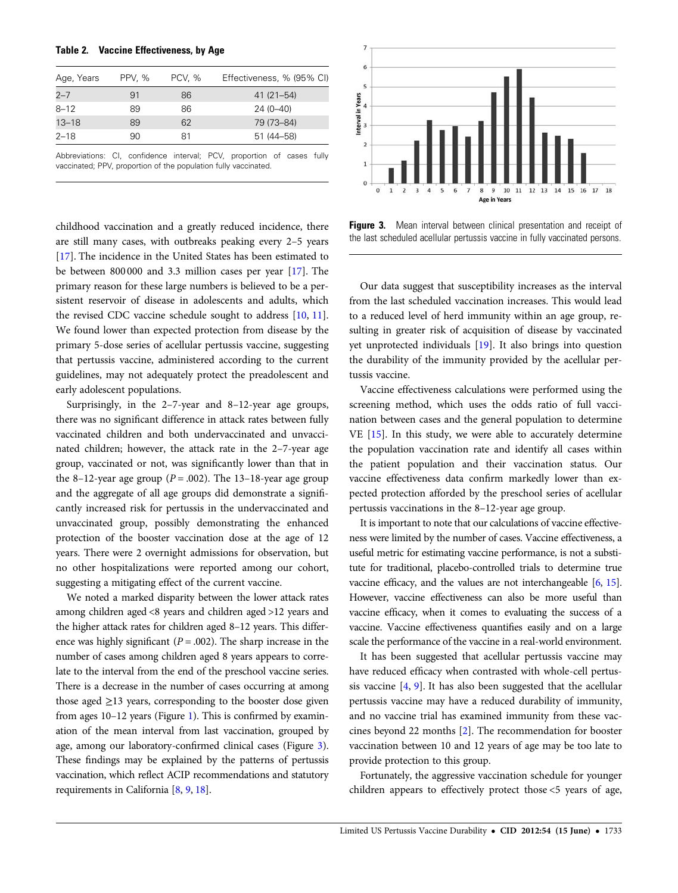## Table 2. Vaccine Effectiveness, by Age

| Age, Years | PPV, % | <b>PCV. %</b> | Effectiveness, % (95% CI) |
|------------|--------|---------------|---------------------------|
| $2 - 7$    | .91    | 86            | $41(21 - 54)$             |
| $8 - 12$   | 89     | 86            | $24(0-40)$                |
| $13 - 18$  | 89     | 62            | 79 (73–84)                |
| $2 - 18$   | 90.    | 81            | 51 (44 - 58)              |

Abbreviations: CI, confidence interval; PCV, proportion of cases fully vaccinated; PPV, proportion of the population fully vaccinated.

childhood vaccination and a greatly reduced incidence, there are still many cases, with outbreaks peaking every 2–5 years [\[17](#page-5-0)]. The incidence in the United States has been estimated to be between 800 000 and 3.3 million cases per year [\[17\]](#page-5-0). The primary reason for these large numbers is believed to be a persistent reservoir of disease in adolescents and adults, which the revised CDC vaccine schedule sought to address [\[10,](#page-5-0) [11\]](#page-5-0). We found lower than expected protection from disease by the primary 5-dose series of acellular pertussis vaccine, suggesting that pertussis vaccine, administered according to the current guidelines, may not adequately protect the preadolescent and early adolescent populations.

Surprisingly, in the 2–7-year and 8–12-year age groups, there was no significant difference in attack rates between fully vaccinated children and both undervaccinated and unvaccinated children; however, the attack rate in the 2–7-year age group, vaccinated or not, was significantly lower than that in the 8–12-year age group ( $P = .002$ ). The 13–18-year age group and the aggregate of all age groups did demonstrate a significantly increased risk for pertussis in the undervaccinated and unvaccinated group, possibly demonstrating the enhanced protection of the booster vaccination dose at the age of 12 years. There were 2 overnight admissions for observation, but no other hospitalizations were reported among our cohort, suggesting a mitigating effect of the current vaccine.

<span id="page-3-0"></span>We noted a marked disparity between the lower attack rates among children aged <8 years and children aged >12 years and the higher attack rates for children aged 8–12 years. This difference was highly significant ( $P = .002$ ). The sharp increase in the number of cases among children aged 8 years appears to correlate to the interval from the end of the preschool vaccine series. There is a decrease in the number of cases occurring at among those aged ≥13 years, corresponding to the booster dose given from ages [1](#page-2-0)0-12 years (Figure 1). This is confirmed by examination of the mean interval from last vaccination, grouped by age, among our laboratory-confirmed clinical cases (Figure [3\)](#page-3-0). These findings may be explained by the patterns of pertussis vaccination, which reflect ACIP recommendations and statutory requirements in California [\[8,](#page-5-0) [9](#page-5-0), [18\]](#page-5-0).



**Figure 3.** Mean interval between clinical presentation and receipt of the last scheduled acellular pertussis vaccine in fully vaccinated persons.

Our data suggest that susceptibility increases as the interval from the last scheduled vaccination increases. This would lead to a reduced level of herd immunity within an age group, resulting in greater risk of acquisition of disease by vaccinated yet unprotected individuals [\[19](#page-5-0)]. It also brings into question the durability of the immunity provided by the acellular pertussis vaccine.

Vaccine effectiveness calculations were performed using the screening method, which uses the odds ratio of full vaccination between cases and the general population to determine VE [[15](#page-5-0)]. In this study, we were able to accurately determine the population vaccination rate and identify all cases within the patient population and their vaccination status. Our vaccine effectiveness data confirm markedly lower than expected protection afforded by the preschool series of acellular pertussis vaccinations in the 8–12-year age group.

It is important to note that our calculations of vaccine effectiveness were limited by the number of cases. Vaccine effectiveness, a useful metric for estimating vaccine performance, is not a substitute for traditional, placebo-controlled trials to determine true vaccine efficacy, and the values are not interchangeable [[6,](#page-5-0) [15\]](#page-5-0). However, vaccine effectiveness can also be more useful than vaccine efficacy, when it comes to evaluating the success of a vaccine. Vaccine effectiveness quantifies easily and on a large scale the performance of the vaccine in a real-world environment.

It has been suggested that acellular pertussis vaccine may have reduced efficacy when contrasted with whole-cell pertussis vaccine [\[4,](#page-5-0) [9](#page-5-0)]. It has also been suggested that the acellular pertussis vaccine may have a reduced durability of immunity, and no vaccine trial has examined immunity from these vaccines beyond 22 months [\[2\]](#page-5-0). The recommendation for booster vaccination between 10 and 12 years of age may be too late to provide protection to this group.

Fortunately, the aggressive vaccination schedule for younger children appears to effectively protect those <5 years of age,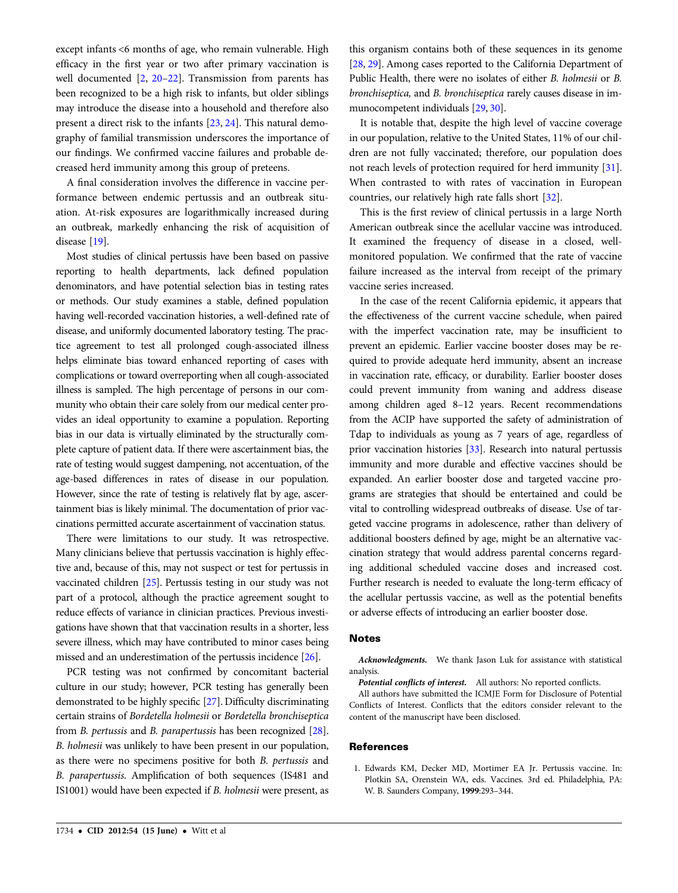except infants <6 months of age, who remain vulnerable. High efficacy in the first year or two after primary vaccination is well documented [[2](#page-5-0), [20](#page-5-0)–[22](#page-5-0)]. Transmission from parents has been recognized to be a high risk to infants, but older siblings may introduce the disease into a household and therefore also present a direct risk to the infants [[23,](#page-5-0) [24](#page-5-0)]. This natural demography of familial transmission underscores the importance of our findings. We confirmed vaccine failures and probable decreased herd immunity among this group of preteens.

A final consideration involves the difference in vaccine performance between endemic pertussis and an outbreak situation. At-risk exposures are logarithmically increased during an outbreak, markedly enhancing the risk of acquisition of disease [\[19](#page-5-0)].

Most studies of clinical pertussis have been based on passive reporting to health departments, lack defined population denominators, and have potential selection bias in testing rates or methods. Our study examines a stable, defined population having well-recorded vaccination histories, a well-defined rate of disease, and uniformly documented laboratory testing. The practice agreement to test all prolonged cough-associated illness helps eliminate bias toward enhanced reporting of cases with complications or toward overreporting when all cough-associated illness is sampled. The high percentage of persons in our community who obtain their care solely from our medical center provides an ideal opportunity to examine a population. Reporting bias in our data is virtually eliminated by the structurally complete capture of patient data. If there were ascertainment bias, the rate of testing would suggest dampening, not accentuation, of the age-based differences in rates of disease in our population. However, since the rate of testing is relatively flat by age, ascertainment bias is likely minimal. The documentation of prior vaccinations permitted accurate ascertainment of vaccination status.

There were limitations to our study. It was retrospective. Many clinicians believe that pertussis vaccination is highly effective and, because of this, may not suspect or test for pertussis in vaccinated children [[25\]](#page-5-0). Pertussis testing in our study was not part of a protocol, although the practice agreement sought to reduce effects of variance in clinician practices. Previous investigations have shown that that vaccination results in a shorter, less severe illness, which may have contributed to minor cases being missed and an underestimation of the pertussis incidence [[26\]](#page-5-0).

<span id="page-4-0"></span>PCR testing was not confirmed by concomitant bacterial culture in our study; however, PCR testing has generally been demonstrated to be highly specific [[27\]](#page-5-0). Difficulty discriminating certain strains of Bordetella holmesii or Bordetella bronchiseptica from B. pertussis and B. parapertussis has been recognized [[28\]](#page-5-0). B. holmesii was unlikely to have been present in our population, as there were no specimens positive for both B. pertussis and B. parapertussis. Amplification of both sequences (IS481 and IS1001) would have been expected if B. holmesii were present, as this organism contains both of these sequences in its genome [\[28](#page-5-0), [29](#page-5-0)]. Among cases reported to the California Department of Public Health, there were no isolates of either B. holmesii or B. bronchiseptica, and B. bronchiseptica rarely causes disease in immunocompetent individuals [\[29](#page-5-0), [30](#page-5-0)].

It is notable that, despite the high level of vaccine coverage in our population, relative to the United States, 11% of our children are not fully vaccinated; therefore, our population does not reach levels of protection required for herd immunity [\[31\]](#page-5-0). When contrasted to with rates of vaccination in European countries, our relatively high rate falls short [\[32](#page-5-0)].

This is the first review of clinical pertussis in a large North American outbreak since the acellular vaccine was introduced. It examined the frequency of disease in a closed, wellmonitored population. We confirmed that the rate of vaccine failure increased as the interval from receipt of the primary vaccine series increased.

In the case of the recent California epidemic, it appears that the effectiveness of the current vaccine schedule, when paired with the imperfect vaccination rate, may be insufficient to prevent an epidemic. Earlier vaccine booster doses may be required to provide adequate herd immunity, absent an increase in vaccination rate, efficacy, or durability. Earlier booster doses could prevent immunity from waning and address disease among children aged 8–12 years. Recent recommendations from the ACIP have supported the safety of administration of Tdap to individuals as young as 7 years of age, regardless of prior vaccination histories [\[33\]](#page-5-0). Research into natural pertussis immunity and more durable and effective vaccines should be expanded. An earlier booster dose and targeted vaccine programs are strategies that should be entertained and could be vital to controlling widespread outbreaks of disease. Use of targeted vaccine programs in adolescence, rather than delivery of additional boosters defined by age, might be an alternative vaccination strategy that would address parental concerns regarding additional scheduled vaccine doses and increased cost. Further research is needed to evaluate the long-term efficacy of the acellular pertussis vaccine, as well as the potential benefits or adverse effects of introducing an earlier booster dose.

## **Notes**

Acknowledgments. We thank Jason Luk for assistance with statistical analysis.

Potential conflicts of interest. All authors: No reported conflicts.

All authors have submitted the ICMJE Form for Disclosure of Potential Conflicts of Interest. Conflicts that the editors consider relevant to the content of the manuscript have been disclosed.

#### References

1. Edwards KM, Decker MD, Mortimer EA Jr. Pertussis vaccine. In: Plotkin SA, Orenstein WA, eds. Vaccines. 3rd ed. Philadelphia, PA: W. B. Saunders Company, 1999:293–344.